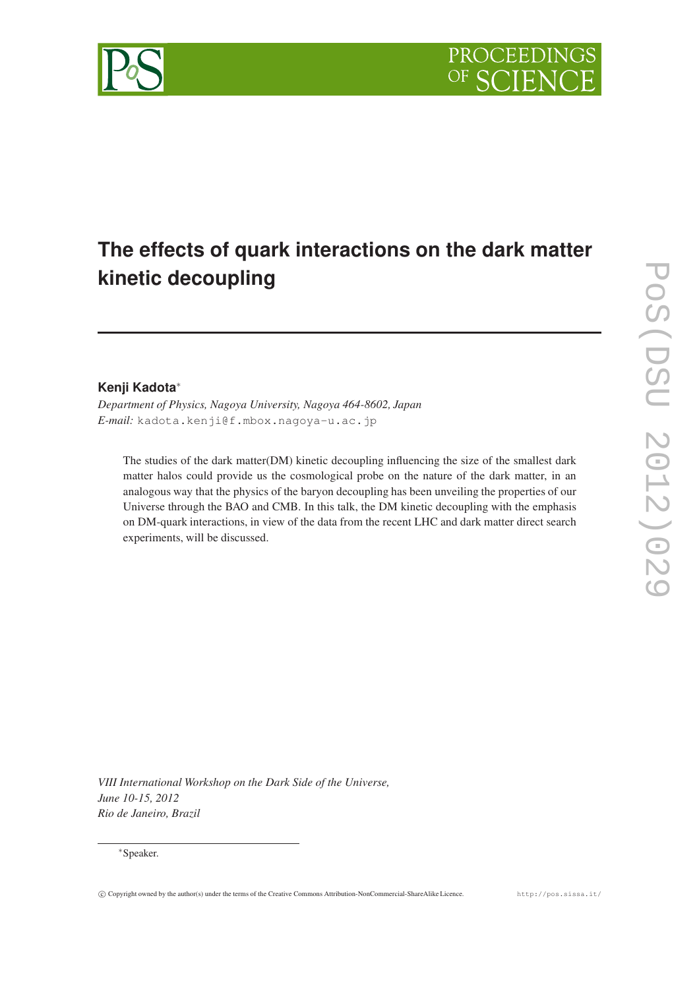

# **The effects of quark interactions on the dark matter kinetic decoupling**

# **Kenji Kadota**<sup>∗</sup>

*Department of Physics, Nagoya University, Nagoya 464-8602, Japan E-mail:* kadota.kenji@f.mbox.nagoya-u.ac.jp

The studies of the dark matter(DM) kinetic decoupling influencing the size of the smallest dark matter halos could provide us the cosmological probe on the nature of the dark matter, in an analogous way that the physics of the baryon decoupling has been unveiling the properties of our Universe through the BAO and CMB. In this talk, the DM kinetic decoupling with the emphasis on DM-quark interactions, in view of the data from the recent LHC and dark matter direct search experiments, will be discussed.

*VIII International Workshop on the Dark Side of the Universe, June 10-15, 2012 Rio de Janeiro, Brazil*

# <sup>∗</sup>Speaker.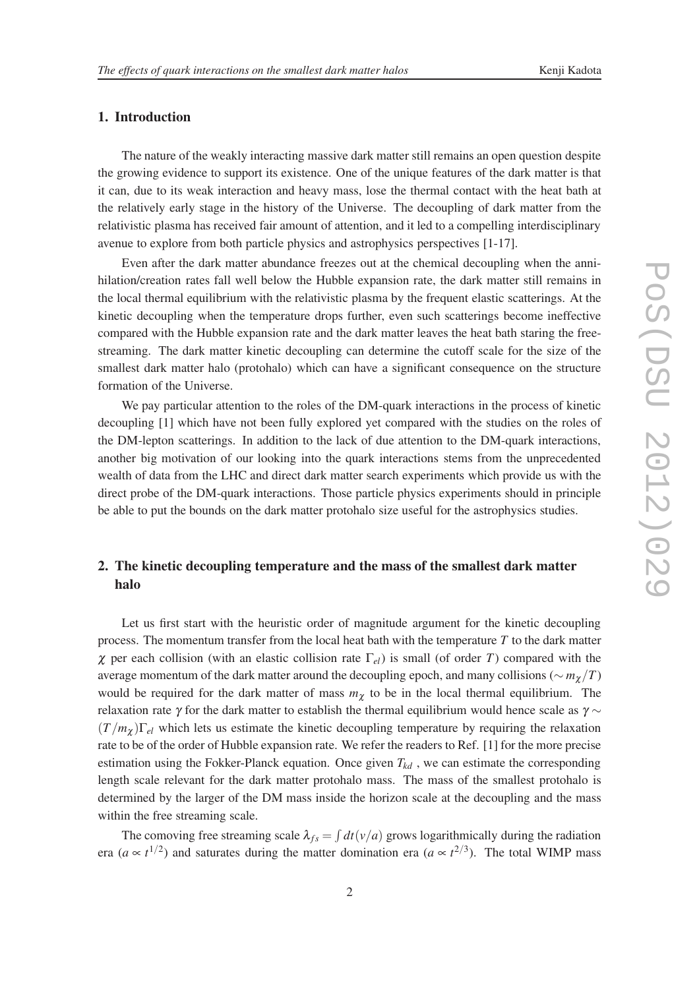# 1. Introduction

The nature of the weakly interacting massive dark matter still remains an open question despite the growing evidence to support its existence. One of the unique features of the dark matter is that it can, due to its weak interaction and heavy mass, lose the thermal contact with the heat bath at the relatively early stage in the history of the Universe. The decoupling of dark matter from the relativistic plasma has received fair amount of attention, and it led to a compelling interdisciplinary avenue to explore from both particle physics and astrophysics perspectives [1-17].

Even after the dark matter abundance freezes out at the chemical decoupling when the annihilation/creation rates fall well below the Hubble expansion rate, the dark matter still remains in the local thermal equilibrium with the relativistic plasma by the frequent elastic scatterings. At the kinetic decoupling when the temperature drops further, even such scatterings become ineffective compared with the Hubble expansion rate and the dark matter leaves the heat bath staring the freestreaming. The dark matter kinetic decoupling can determine the cutoff scale for the size of the smallest dark matter halo (protohalo) which can have a significant consequence on the structure formation of the Universe.

We pay particular attention to the roles of the DM-quark interactions in the process of kinetic decoupling [1] which have not been fully explored yet compared with the studies on the roles of the DM-lepton scatterings. In addition to the lack of due attention to the DM-quark interactions, another big motivation of our looking into the quark interactions stems from the unprecedented wealth of data from the LHC and direct dark matter search experiments which provide us with the direct probe of the DM-quark interactions. Those particle physics experiments should in principle be able to put the bounds on the dark matter protohalo size useful for the astrophysics studies.

# 2. The kinetic decoupling temperature and the mass of the smallest dark matter halo

Let us first start with the heuristic order of magnitude argument for the kinetic decoupling process. The momentum transfer from the local heat bath with the temperature *T* to the dark matter <sup>χ</sup> per each collision (with an elastic collision rate Γ*el*) is small (of order *T*) compared with the average momentum of the dark matter around the decoupling epoch, and many collisions ( $\sim m_\gamma/T$ ) would be required for the dark matter of mass  $m<sub>\chi</sub>$  to be in the local thermal equilibrium. The relaxation rate  $\gamma$  for the dark matter to establish the thermal equilibrium would hence scale as  $\gamma \sim$  $(T/m_\chi)\Gamma_{el}$  which lets us estimate the kinetic decoupling temperature by requiring the relaxation rate to be of the order of Hubble expansion rate. We refer the readers to Ref. [1] for the more precise estimation using the Fokker-Planck equation. Once given  $T_{kd}$ , we can estimate the corresponding length scale relevant for the dark matter protohalo mass. The mass of the smallest protohalo is determined by the larger of the DM mass inside the horizon scale at the decoupling and the mass within the free streaming scale.

The comoving free streaming scale  $\lambda_{fs} = \int dt (v/a)$  grows logarithmically during the radiation era ( $a \propto t^{1/2}$ ) and saturates during the matter domination era ( $a \propto t^{2/3}$ ). The total WIMP mass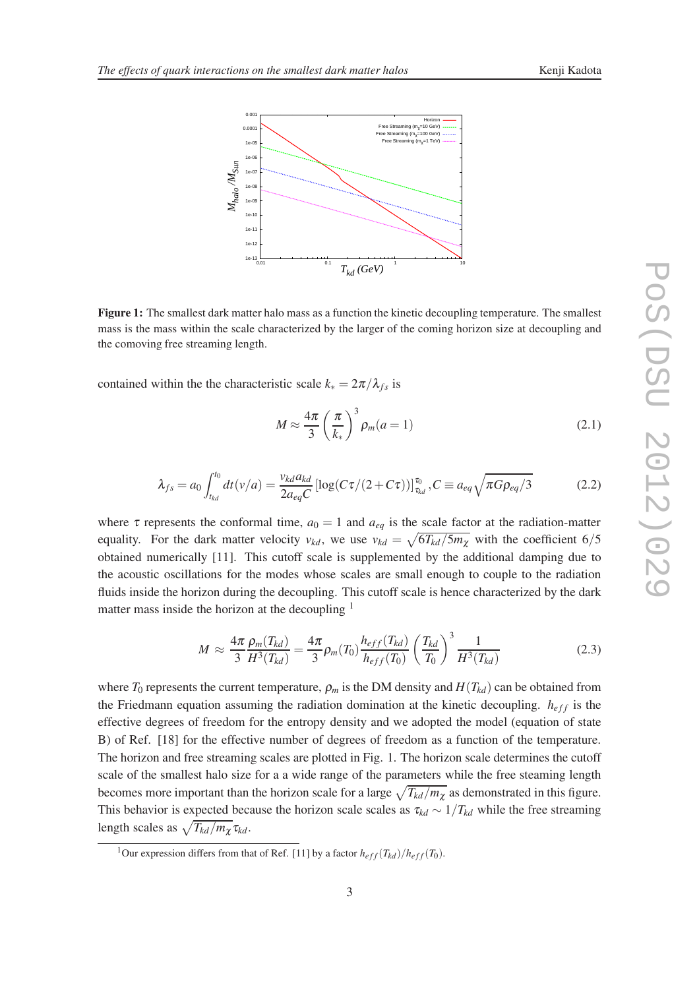1e-07 1e-06 1e-05 0.0001 0.001





Figure 1: The smallest dark matter halo mass as a function the kinetic decoupling temperature. The smallest mass is the mass within the scale characterized by the larger of the coming horizon size at decoupling and the comoving free streaming length.

contained within the the characteristic scale  $k_* = 2\pi/\lambda_{fs}$  is

$$
M \approx \frac{4\pi}{3} \left(\frac{\pi}{k_*}\right)^3 \rho_m(a=1)
$$
 (2.1)

$$
\lambda_{fs} = a_0 \int_{t_{kd}}^{t_0} dt(v/a) = \frac{v_{kd} a_{kd}}{2a_{eq}C} [\log(C\tau/(2 + C\tau))]_{\tau_{kd}}^{t_0}, C \equiv a_{eq} \sqrt{\pi G \rho_{eq}/3}
$$
(2.2)

where  $\tau$  represents the conformal time,  $a_0 = 1$  and  $a_{eq}$  is the scale factor at the radiation-matter equality. For the dark matter velocity  $v_{kd}$ , we use  $v_{kd} = \sqrt{6T_{kd}/5m_{\chi}}$  with the coefficient 6/5 obtained numerically [11]. This cutoff scale is supplemented by the additional damping due to the acoustic oscillations for the modes whose scales are small enough to couple to the radiation fluids inside the horizon during the decoupling. This cutoff scale is hence characterized by the dark matter mass inside the horizon at the decoupling  $<sup>1</sup>$ </sup>

$$
M \approx \frac{4\pi}{3} \frac{\rho_m(T_{kd})}{H^3(T_{kd})} = \frac{4\pi}{3} \rho_m(T_0) \frac{h_{eff}(T_{kd})}{h_{eff}(T_0)} \left(\frac{T_{kd}}{T_0}\right)^3 \frac{1}{H^3(T_{kd})}
$$
(2.3)

where  $T_0$  represents the current temperature,  $\rho_m$  is the DM density and  $H(T_{kd})$  can be obtained from the Friedmann equation assuming the radiation domination at the kinetic decoupling.  $h_{eff}$  is the effective degrees of freedom for the entropy density and we adopted the model (equation of state B) of Ref. [18] for the effective number of degrees of freedom as a function of the temperature. The horizon and free streaming scales are plotted in Fig. 1. The horizon scale determines the cutoff scale of the smallest halo size for a a wide range of the parameters while the free steaming length becomes more important than the horizon scale for a large  $\sqrt{T_{kd}/m_\chi}$  as demonstrated in this figure. This behavior is expected because the horizon scale scales as <sup>τ</sup>*kd* ∼ 1/*Tkd* while the free streaming length scales as  $\sqrt{T_{kd}/m_\chi} \tau_{kd}$ .

<sup>&</sup>lt;sup>1</sup>Our expression differs from that of Ref. [11] by a factor  $h_{eff}(T_{kd})/h_{eff}(T_0)$ .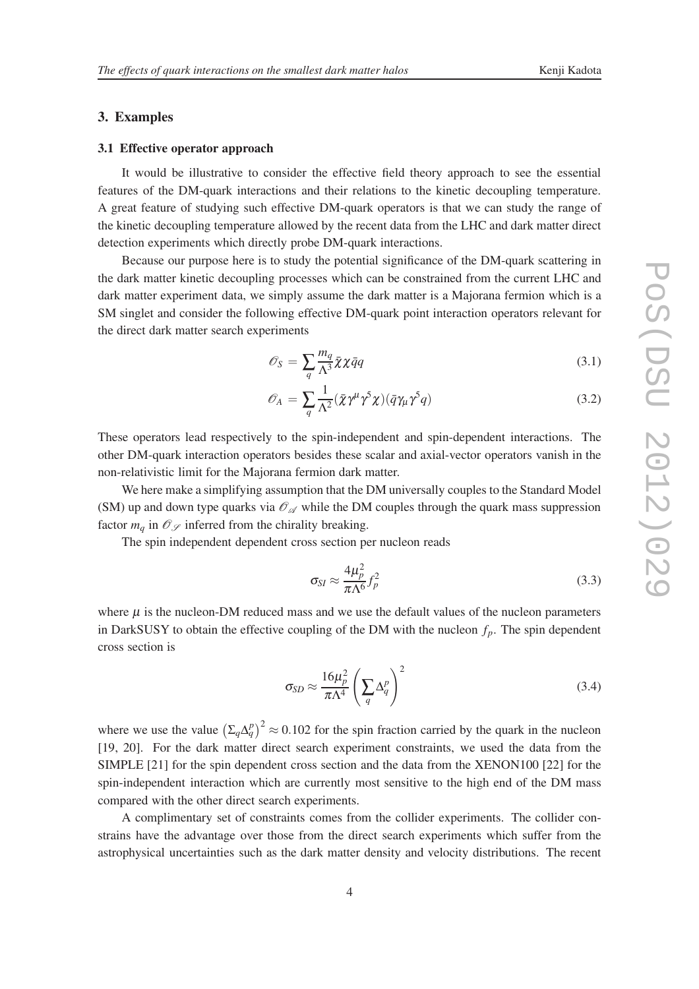# 3. Examples

## 3.1 Effective operator approach

It would be illustrative to consider the effective field theory approach to see the essential features of the DM-quark interactions and their relations to the kinetic decoupling temperature. A great feature of studying such effective DM-quark operators is that we can study the range of the kinetic decoupling temperature allowed by the recent data from the LHC and dark matter direct detection experiments which directly probe DM-quark interactions.

Because our purpose here is to study the potential significance of the DM-quark scattering in the dark matter kinetic decoupling processes which can be constrained from the current LHC and dark matter experiment data, we simply assume the dark matter is a Majorana fermion which is a SM singlet and consider the following effective DM-quark point interaction operators relevant for the direct dark matter search experiments

$$
\mathcal{O}_S = \sum_{q} \frac{m_q}{\Lambda^3} \bar{\chi} \chi \bar{q} q \tag{3.1}
$$

$$
\mathscr{O}_A = \sum_{q} \frac{1}{\Lambda^2} (\bar{\chi} \gamma^{\mu} \gamma^5 \chi)(\bar{q} \gamma_{\mu} \gamma^5 q) \tag{3.2}
$$

These operators lead respectively to the spin-independent and spin-dependent interactions. The other DM-quark interaction operators besides these scalar and axial-vector operators vanish in the non-relativistic limit for the Majorana fermion dark matter.

We here make a simplifying assumption that the DM universally couples to the Standard Model (SM) up and down type quarks via  $\mathcal{O}_{\mathscr{A}}$  while the DM couples through the quark mass suppression factor  $m_q$  in  $\mathcal{O}_{\mathscr{S}}$  inferred from the chirality breaking.

The spin independent dependent cross section per nucleon reads

$$
\sigma_{SI} \approx \frac{4\mu_p^2}{\pi\Lambda^6} f_p^2 \tag{3.3}
$$

where  $\mu$  is the nucleon-DM reduced mass and we use the default values of the nucleon parameters in DarkSUSY to obtain the effective coupling of the DM with the nucleon  $f_p$ . The spin dependent cross section is

$$
\sigma_{SD} \approx \frac{16\mu_p^2}{\pi\Lambda^4} \left(\sum_q \Delta_q^p\right)^2 \tag{3.4}
$$

where we use the value  $(\Sigma_q \Delta_q^p)^2 \approx 0.102$  for the spin fraction carried by the quark in the nucleon [19, 20]. For the dark matter direct search experiment constraints, we used the data from the SIMPLE [21] for the spin dependent cross section and the data from the XENON100 [22] for the spin-independent interaction which are currently most sensitive to the high end of the DM mass compared with the other direct search experiments.

A complimentary set of constraints comes from the collider experiments. The collider constrains have the advantage over those from the direct search experiments which suffer from the astrophysical uncertainties such as the dark matter density and velocity distributions. The recent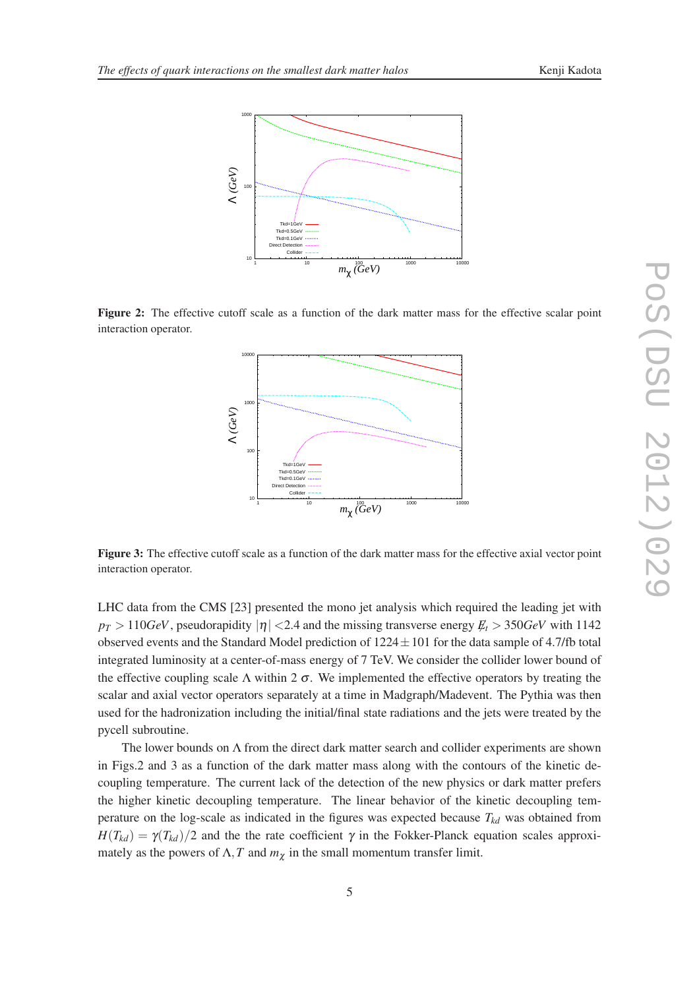

Figure 2: The effective cutoff scale as a function of the dark matter mass for the effective scalar point interaction operator.



Figure 3: The effective cutoff scale as a function of the dark matter mass for the effective axial vector point interaction operator.

LHC data from the CMS [23] presented the mono jet analysis which required the leading jet with  $p_T > 110 GeV$ , pseudorapidity  $|\eta| < 2.4$  and the missing transverse energy  $E_t > 350 GeV$  with 1142 observed events and the Standard Model prediction of  $1224 \pm 101$  for the data sample of 4.7/fb total integrated luminosity at a center-of-mass energy of 7 TeV. We consider the collider lower bound of the effective coupling scale  $\Lambda$  within 2  $\sigma$ . We implemented the effective operators by treating the scalar and axial vector operators separately at a time in Madgraph/Madevent. The Pythia was then used for the hadronization including the initial/final state radiations and the jets were treated by the pycell subroutine.

The lower bounds on  $\Lambda$  from the direct dark matter search and collider experiments are shown in Figs.2 and 3 as a function of the dark matter mass along with the contours of the kinetic decoupling temperature. The current lack of the detection of the new physics or dark matter prefers the higher kinetic decoupling temperature. The linear behavior of the kinetic decoupling temperature on the log-scale as indicated in the figures was expected because  $T_{kd}$  was obtained from  $H(T_{kd}) = \gamma(T_{kd})/2$  and the the rate coefficient  $\gamma$  in the Fokker-Planck equation scales approximately as the powers of  $\Lambda$ , T and  $m_{\chi}$  in the small momentum transfer limit.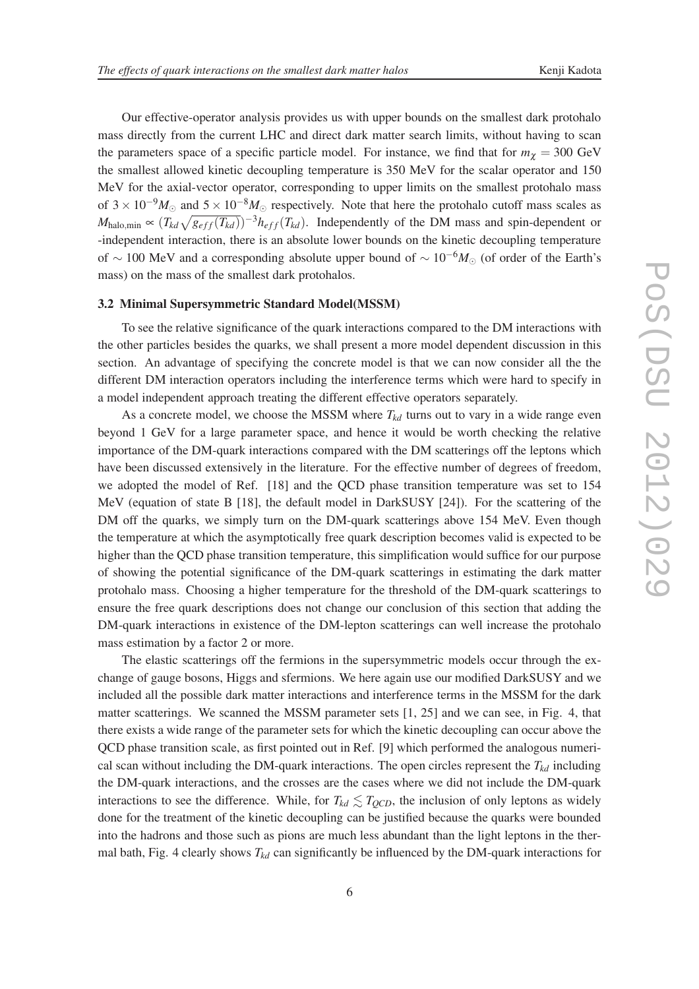Our effective-operator analysis provides us with upper bounds on the smallest dark protohalo mass directly from the current LHC and direct dark matter search limits, without having to scan the parameters space of a specific particle model. For instance, we find that for  $m<sub>\chi</sub> = 300 \text{ GeV}$ the smallest allowed kinetic decoupling temperature is 350 MeV for the scalar operator and 150 MeV for the axial-vector operator, corresponding to upper limits on the smallest protohalo mass of  $3 \times 10^{-9} M_{\odot}$  and  $5 \times 10^{-8} M_{\odot}$  respectively. Note that here the protohalo cutoff mass scales as *M*<sub>halo,min</sub>  $\propto$   $(T_{kd}\sqrt{g_{eff}(T_{kd})})^{-3}h_{eff}(T_{kd})$ . Independently of the DM mass and spin-dependent or -independent interaction, there is an absolute lower bounds on the kinetic decoupling temperature of ∼ 100 MeV and a corresponding absolute upper bound of ∼ 10−6*M*<sup>⊙</sup> (of order of the Earth's mass) on the mass of the smallest dark protohalos.

### 3.2 Minimal Supersymmetric Standard Model(MSSM)

To see the relative significance of the quark interactions compared to the DM interactions with the other particles besides the quarks, we shall present a more model dependent discussion in this section. An advantage of specifying the concrete model is that we can now consider all the the different DM interaction operators including the interference terms which were hard to specify in a model independent approach treating the different effective operators separately.

As a concrete model, we choose the MSSM where  $T_{kd}$  turns out to vary in a wide range even beyond 1 GeV for a large parameter space, and hence it would be worth checking the relative importance of the DM-quark interactions compared with the DM scatterings off the leptons which have been discussed extensively in the literature. For the effective number of degrees of freedom, we adopted the model of Ref. [18] and the QCD phase transition temperature was set to 154 MeV (equation of state B [18], the default model in DarkSUSY [24]). For the scattering of the DM off the quarks, we simply turn on the DM-quark scatterings above 154 MeV. Even though the temperature at which the asymptotically free quark description becomes valid is expected to be higher than the QCD phase transition temperature, this simplification would suffice for our purpose of showing the potential significance of the DM-quark scatterings in estimating the dark matter protohalo mass. Choosing a higher temperature for the threshold of the DM-quark scatterings to ensure the free quark descriptions does not change our conclusion of this section that adding the DM-quark interactions in existence of the DM-lepton scatterings can well increase the protohalo mass estimation by a factor 2 or more.

The elastic scatterings off the fermions in the supersymmetric models occur through the exchange of gauge bosons, Higgs and sfermions. We here again use our modified DarkSUSY and we included all the possible dark matter interactions and interference terms in the MSSM for the dark matter scatterings. We scanned the MSSM parameter sets [1, 25] and we can see, in Fig. 4, that there exists a wide range of the parameter sets for which the kinetic decoupling can occur above the QCD phase transition scale, as first pointed out in Ref. [9] which performed the analogous numerical scan without including the DM-quark interactions. The open circles represent the  $T_{kd}$  including the DM-quark interactions, and the crosses are the cases where we did not include the DM-quark interactions to see the difference. While, for  $T_{kd} \lesssim T_{QCD}$ , the inclusion of only leptons as widely done for the treatment of the kinetic decoupling can be justified because the quarks were bounded into the hadrons and those such as pions are much less abundant than the light leptons in the thermal bath, Fig. 4 clearly shows  $T_{kd}$  can significantly be influenced by the DM-quark interactions for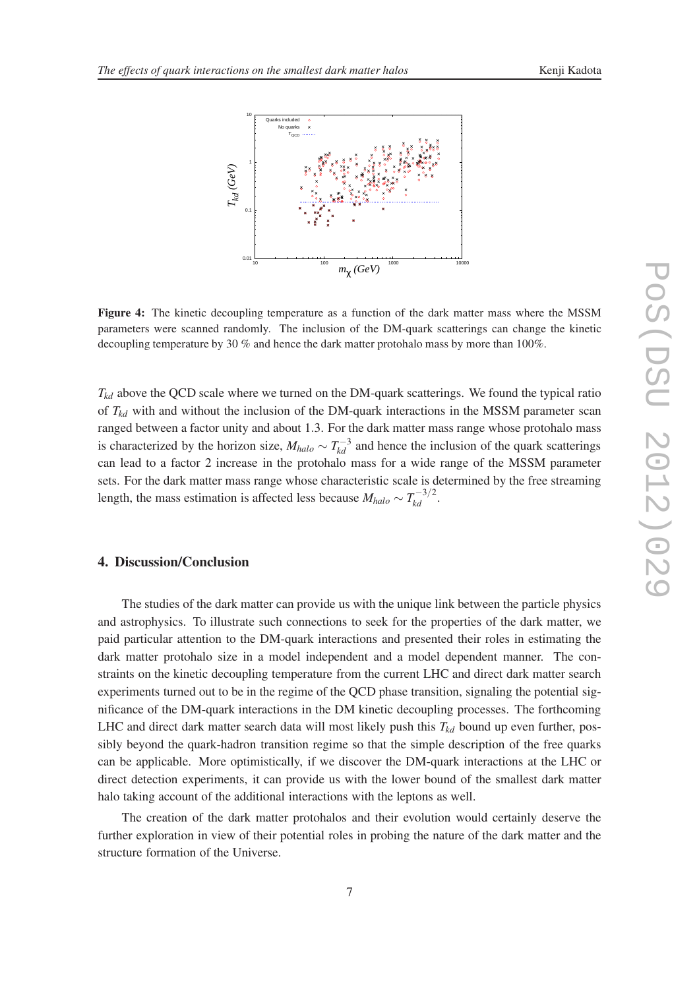

Figure 4: The kinetic decoupling temperature as a function of the dark matter mass where the MSSM parameters were scanned randomly. The inclusion of the DM-quark scatterings can change the kinetic decoupling temperature by 30 % and hence the dark matter protohalo mass by more than 100%.

 $T_{kd}$  above the QCD scale where we turned on the DM-quark scatterings. We found the typical ratio of  $T_{kd}$  with and without the inclusion of the DM-quark interactions in the MSSM parameter scan ranged between a factor unity and about 1.3. For the dark matter mass range whose protohalo mass is characterized by the horizon size,  $M_{halo} \sim T_{kd}^{-3}$  and hence the inclusion of the quark scatterings can lead to a factor 2 increase in the protohalo mass for a wide range of the MSSM parameter sets. For the dark matter mass range whose characteristic scale is determined by the free streaming length, the mass estimation is affected less because  $M_{halo} \sim T_{kd}^{-3/2}$ .

# 4. Discussion/Conclusion

The studies of the dark matter can provide us with the unique link between the particle physics and astrophysics. To illustrate such connections to seek for the properties of the dark matter, we paid particular attention to the DM-quark interactions and presented their roles in estimating the dark matter protohalo size in a model independent and a model dependent manner. The constraints on the kinetic decoupling temperature from the current LHC and direct dark matter search experiments turned out to be in the regime of the QCD phase transition, signaling the potential significance of the DM-quark interactions in the DM kinetic decoupling processes. The forthcoming LHC and direct dark matter search data will most likely push this  $T_{kd}$  bound up even further, possibly beyond the quark-hadron transition regime so that the simple description of the free quarks can be applicable. More optimistically, if we discover the DM-quark interactions at the LHC or direct detection experiments, it can provide us with the lower bound of the smallest dark matter halo taking account of the additional interactions with the leptons as well.

The creation of the dark matter protohalos and their evolution would certainly deserve the further exploration in view of their potential roles in probing the nature of the dark matter and the structure formation of the Universe.